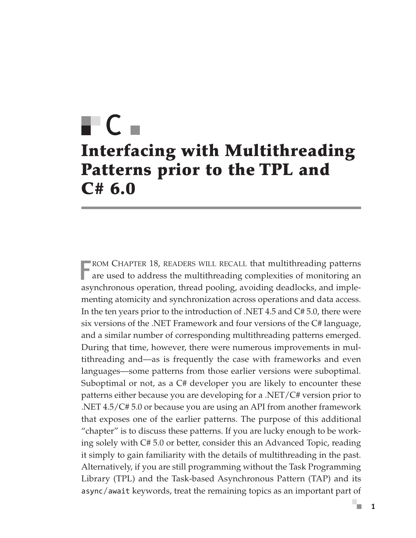# Interfacing with Multithreading Patterns prior to the TPL and C# 6.0  $- C -$

FROM CHAPTER 18, READERS WILL RECALL that multithreading patterns are used to address the multithreading complexities of monitoring an are used to address the multithreading complexities of monitoring an asynchronous operation, thread pooling, avoiding deadlocks, and implementing atomicity and synchronization across operations and data access. In the ten years prior to the introduction of .NET 4.5 and C# 5.0, there were six versions of the .NET Framework and four versions of the C# language, and a similar number of corresponding multithreading patterns emerged. During that time, however, there were numerous improvements in multithreading and—as is frequently the case with frameworks and even languages—some patterns from those earlier versions were suboptimal. Suboptimal or not, as a C# developer you are likely to encounter these patterns either because you are developing for a .NET/C# version prior to .NET 4.5/C# 5.0 or because you are using an API from another framework that exposes one of the earlier patterns. The purpose of this additional "chapter" is to discuss these patterns. If you are lucky enough to be working solely with C# 5.0 or better, consider this an Advanced Topic, reading it simply to gain familiarity with the details of multithreading in the past. Alternatively, if you are still programming without the Task Programming Library (TPL) and the Task-based Asynchronous Pattern (TAP) and its async/await keywords, treat the remaining topics as an important part of

ш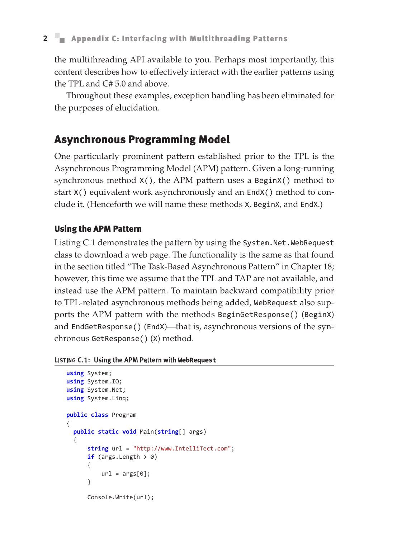the multithreading API available to you. Perhaps most importantly, this content describes how to effectively interact with the earlier patterns using the TPL and C# 5.0 and above.

Throughout these examples, exception handling has been eliminated for the purposes of elucidation.

# Asynchronous Programming Model

One particularly prominent pattern established prior to the TPL is the Asynchronous Programming Model (APM) pattern. Given a long-running synchronous method  $X()$ , the APM pattern uses a Begin $X()$  method to start X() equivalent work asynchronously and an EndX() method to conclude it. (Henceforth we will name these methods X, BeginX, and EndX.)

## Using the APM Pattern

Listing C.1 demonstrates the pattern by using the System.Net.WebRequest class to download a web page. The functionality is the same as that found in the section titled "The Task-Based Asynchronous Pattern" in Chapter 18; however, this time we assume that the TPL and TAP are not available, and instead use the APM pattern. To maintain backward compatibility prior to TPL-related asynchronous methods being added, WebRequest also supports the APM pattern with the methods BeginGetResponse() (BeginX) and EndGetResponse() (EndX)—that is, asynchronous versions of the synchronous GetResponse() (X) method.

```
Listing C.1:  Using the APM Pattern with WebRequest
```

```
using System;
using System.IO;
using System.Net;
using System.Linq;
public class Program
{
  public static void Main(string[] args)
   {
       string url = "http://www.IntelliTect.com";
       if (args.Length > 0)
       {
          url = args[0]; }
       Console.Write(url);
```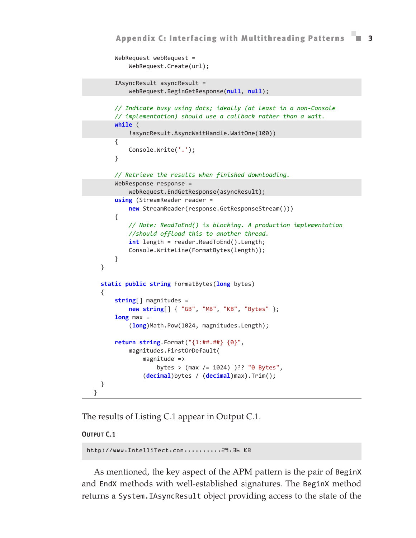```
 WebRequest webRequest = 
           WebRequest.Create(url);
       IAsyncResult asyncResult = 
           webRequest.BeginGetResponse(null, null);
      // Indicate busy using dots; ideally (at least in a non-Console 
       // implementation) should use a callback rather than a wait.
      while (
           !asyncResult.AsyncWaitHandle.WaitOne(100))
       {
           Console.Write('.');
 }
       // Retrieve the results when finished downloading.
      WebResponse response = 
           webRequest.EndGetResponse(asyncResult);
      using (StreamReader reader = 
           new StreamReader(response.GetResponseStream()))
       {
           // Note: ReadToEnd() is blocking. A production implementation
           //should offload this to another thread.
           int length = reader.ReadToEnd().Length;
           Console.WriteLine(FormatBytes(length));
      }
  }
  static public string FormatBytes(long bytes)
  {
       string[] magnitudes = 
           new string[] { "GB", "MB", "KB", "Bytes" };
       long max = 
           (long)Math.Pow(1024, magnitudes.Length);
       return string.Format("{1:##.##} {0}",
           magnitudes.FirstOrDefault(
               magnitude => 
                   bytes > (max /= 1024) )?? "0 Bytes",
               (decimal)bytes / (decimal)max).Trim();
  }
}
```
The results of Listing C.1 appear in Output C.1.

#### Output C.1

```
http://www.IntelliTect.com..........29.36 KB
```
As mentioned, the key aspect of the APM pattern is the pair of BeginX and EndX methods with well-established signatures. The BeginX method returns a System.IAsyncResult object providing access to the state of the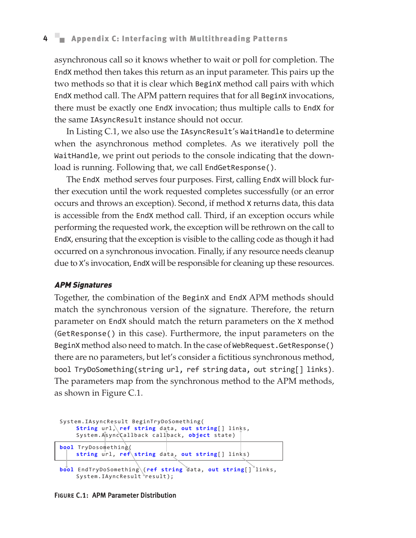asynchronous call so it knows whether to wait or poll for completion. The EndX method then takes this return as an input parameter. This pairs up the two methods so that it is clear which BeginX method call pairs with which EndX method call. The APM pattern requires that for all BeginX invocations, there must be exactly one EndX invocation; thus multiple calls to EndX for the same IAsyncResult instance should not occur.

In Listing C.1, we also use the IAsyncResult's WaitHandle to determine when the asynchronous method completes. As we iteratively poll the WaitHandle, we print out periods to the console indicating that the download is running. Following that, we call EndGetResponse().

The EndX method serves four purposes. First, calling EndX will block further execution until the work requested completes successfully (or an error occurs and throws an exception). Second, if method X returns data, this data is accessible from the EndX method call. Third, if an exception occurs while performing the requested work, the exception will be rethrown on the call to EndX, ensuring that the exception is visible to the calling code as though it had occurred on a synchronous invocation. Finally, if any resource needs cleanup due to X's invocation, EndX will be responsible for cleaning up these resources.

#### APM Signatures

Together, the combination of the BeginX and EndX APM methods should match the synchronous version of the signature. Therefore, the return parameter on EndX should match the return parameters on the X method (GetResponse() in this case). Furthermore, the input parameters on the BeginX method also need to match. In the case of WebRequest.GetResponse() there are no parameters, but let's consider a fictitious synchronous method, bool TryDoSomething(string url, ref string data, out string[] links). The parameters map from the synchronous method to the APM methods, as shown in Figure C.1.

```
System.IAsyncResult BeginTryDoSomething(
    String url, ref string data, out string[] links,
     System.AsyncCallback call<mark>back, object</mark> state)
bool EndTryDoSomething (ref string data, out string[] links,
     System.IAyncResult<sup>\</sup>result);
bool
 TryDosomething(
   string url, ref string data, out string[] links)
```
#### Figure C.1: APM Parameter Distribution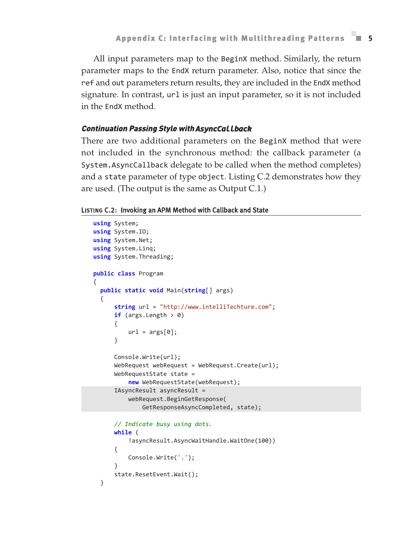All input parameters map to the BeginX method. Similarly, the return parameter maps to the EndX return parameter. Also, notice that since the ref and out parameters return results, they are included in the EndX method signature. In contrast, url is just an input parameter, so it is not included in the EndX method.

#### Continuation Passing Style with *AsyncCallback*

There are two additional parameters on the BeginX method that were not included in the synchronous method: the callback parameter (a System.AsyncCallback delegate to be called when the method completes) and a state parameter of type object. Listing C.2 demonstrates how they are used. (The output is the same as Output C.1.)

#### Listing C.2: Invoking an APM Method with Callback and State

```
using System;
using System.IO;
using System.Net;
using System.Linq;
using System.Threading;
public class Program
{
   public static void Main(string[] args)
   {
       string url = "http://www.intelliTechture.com";
      if (args.Length > 0)
       {
          url = args[0]; }
       Console.Write(url);
      WebRequest webRequest = WebRequest.Create(url);
       WebRequestState state =
           new WebRequestState(webRequest);
       IAsyncResult asyncResult = 
           webRequest.BeginGetResponse(
               GetResponseAsyncCompleted, state);
       // Indicate busy using dots.
       while (
           !asyncResult.AsyncWaitHandle.WaitOne(100))
       {
           Console.Write('.');
 }
       state.ResetEvent.Wait();
   }
```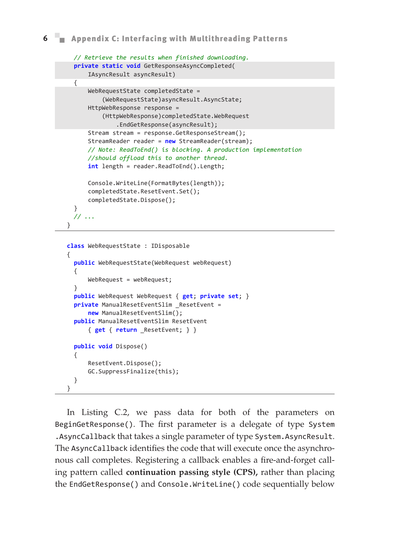```
 // Retrieve the results when finished downloading.
   private static void GetResponseAsyncCompleted(
       IAsyncResult asyncResult)
   {
       WebRequestState completedState = 
           (WebRequestState)asyncResult.AsyncState;
       HttpWebResponse response =
           (HttpWebResponse)completedState.WebRequest
               .EndGetResponse(asyncResult);
       Stream stream = response.GetResponseStream();
       StreamReader reader = new StreamReader(stream);
       // Note: ReadToEnd() is blocking. A production implementation 
       //should offload this to another thread.
       int length = reader.ReadToEnd().Length;
       Console.WriteLine(FormatBytes(length));
       completedState.ResetEvent.Set();
       completedState.Dispose();
   }
  // ...
}
```

```
class WebRequestState : IDisposable
{
   public WebRequestState(WebRequest webRequest)
   {
       WebRequest = webRequest;
   }
   public WebRequest WebRequest { get; private set; }
  private ManualResetEventSlim ResetEvent =
       new ManualResetEventSlim();
   public ManualResetEventSlim ResetEvent
       { get { return _ResetEvent; } }
   public void Dispose()
   {
       ResetEvent.Dispose();
       GC.SuppressFinalize(this);
   }
}
```
In Listing C.2, we pass data for both of the parameters on BeginGetResponse(). The first parameter is a delegate of type System .AsyncCallback that takes a single parameter of type System.AsyncResult. The AsyncCallback identifies the code that will execute once the asynchronous call completes. Registering a callback enables a fire-and-forget calling pattern called **continuation passing style (CPS),** rather than placing the EndGetResponse() and Console.WriteLine() code sequentially below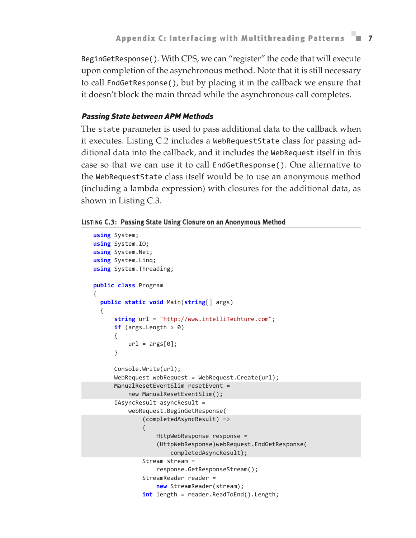BeginGetResponse(). With CPS, we can "register" the code that will execute upon completion of the asynchronous method. Note that it is still necessary to call EndGetResponse(), but by placing it in the callback we ensure that it doesn't block the main thread while the asynchronous call completes.

#### Passing State between APM Methods

The state parameter is used to pass additional data to the callback when it executes. Listing C.2 includes a WebRequestState class for passing additional data into the callback, and it includes the WebRequest itself in this case so that we can use it to call EndGetResponse(). One alternative to the WebRequestState class itself would be to use an anonymous method (including a lambda expression) with closures for the additional data, as shown in Listing C.3.

#### Listing C.3: Passing State Using Closure on an Anonymous Method

```
using System;
using System.IO;
using System.Net;
using System.Linq;
using System.Threading;
public class Program
{
  public static void Main(string[] args)
 {
       string url = "http://www.intelliTechture.com";
       if (args.Length > 0)
       {
          url = args[0]; }
       Console.Write(url);
      WebRequest webRequest = WebRequest.Create(url);
      ManualResetEventSlim resetEvent =
           new ManualResetEventSlim();
       IAsyncResult asyncResult = 
           webRequest.BeginGetResponse(
               (completedAsyncResult) =>
\{ HttpWebResponse response =
                   (HttpWebResponse)webRequest.EndGetResponse(
                       completedAsyncResult);
               Stream stream = 
                   response.GetResponseStream();
               StreamReader reader = 
                   new StreamReader(stream);
               int length = reader.ReadToEnd().Length;
```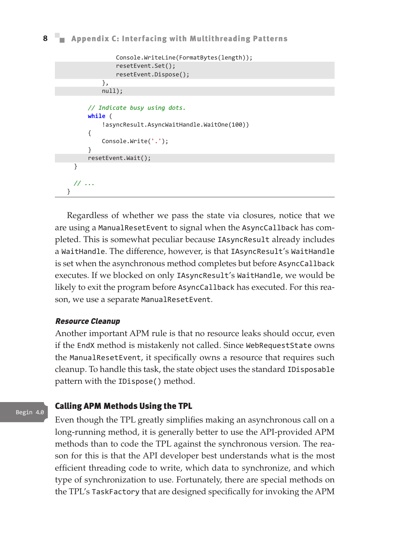```
 Console.WriteLine(FormatBytes(length));
                resetEvent.Set();
                resetEvent.Dispose();
           }, 
           null);
       // Indicate busy using dots.
       while (
            !asyncResult.AsyncWaitHandle.WaitOne(100))
\{ Console.Write('.');
       }
       resetEvent.Wait();
   }
  // ...
}
```
Regardless of whether we pass the state via closures, notice that we are using a ManualResetEvent to signal when the AsyncCallback has completed. This is somewhat peculiar because IAsyncResult already includes a WaitHandle. The difference, however, is that IAsyncResult's WaitHandle is set when the asynchronous method completes but before AsyncCallback executes. If we blocked on only IAsyncResult's WaitHandle, we would be likely to exit the program before AsyncCallback has executed. For this reason, we use a separate ManualResetEvent.

#### Resource Cleanup

Another important APM rule is that no resource leaks should occur, even if the EndX method is mistakenly not called. Since WebRequestState owns the ManualResetEvent, it specifically owns a resource that requires such cleanup. To handle this task, the state object uses the standard IDisposable pattern with the IDispose() method.

#### Calling APM Methods Using the TPL

Even though the TPL greatly simplifies making an asynchronous call on a long-running method, it is generally better to use the API-provided APM methods than to code the TPL against the synchronous version. The reason for this is that the API developer best understands what is the most efficient threading code to write, which data to synchronize, and which type of synchronization to use. Fortunately, there are special methods on the TPL's TaskFactory that are designed specifically for invoking the APM

```
Begin 4.0
```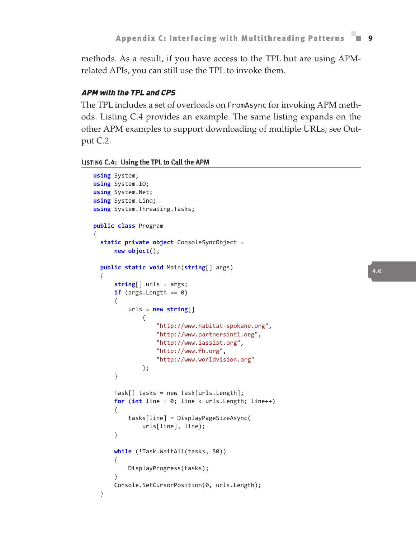methods. As a result, if you have access to the TPL but are using APMrelated APIs, you can still use the TPL to invoke them.

#### APM with the TPL and CPS

The TPL includes a set of overloads on FromAsync for invoking APM methods. Listing C.4 provides an example. The same listing expands on the other APM examples to support downloading of multiple URLs; see Output C.2.

```
Listing C.4:  Using the TPL to Call the APM
```

```
using System;
using System.IO;
using System.Net;
using System.Linq;
using System.Threading.Tasks;
public class Program
{
    static private object ConsoleSyncObject = 
          new object();
    public static void Main(string[] args)
    {
          string[] urls = args;
         if (args.Length == 0)
          {
                urls = new string[] 
\left\{ \begin{array}{ccc} 0 & 0 & 0 \\ 0 & 0 & 0 \\ 0 & 0 & 0 \\ 0 & 0 & 0 \\ 0 & 0 & 0 \\ 0 & 0 & 0 \\ 0 & 0 & 0 \\ 0 & 0 & 0 \\ 0 & 0 & 0 \\ 0 & 0 & 0 \\ 0 & 0 & 0 \\ 0 & 0 & 0 \\ 0 & 0 & 0 \\ 0 & 0 & 0 & 0 \\ 0 & 0 & 0 & 0 \\ 0 & 0 & 0 & 0 \\ 0 & 0 & 0 & 0 & 0 \\ 0 & 0 & 0 & 0 & 0 \\ 0 & 0 & 0 & 0 & 0 \\ 0 & 0 & 0 & 0 "http://www.habitat-spokane.org",
                            "http://www.partnersintl.org",
                            "http://www.iassist.org",
                            "http://www.fh.org",
                            "http://www.worldvision.org"
                      };
          }
          Task[] tasks = new Task[urls.Length];
          for (int line = 0; line < urls.Length; line++)
          {
                tasks[line] = DisplayPageSizeAsync(
                      urls[line], line);
          }
          while (!Task.WaitAll(tasks, 50))
          {
                DisplayProgress(tasks);
          }
          Console.SetCursorPosition(0, urls.Length);
    }
```
#### 4.0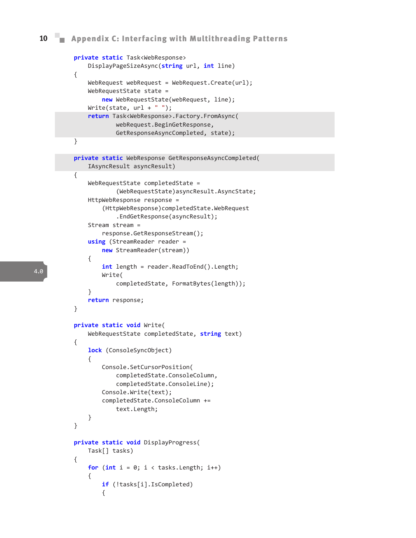```
 private static Task<WebResponse>
     DisplayPageSizeAsync(string url, int line)
 {
     WebRequest webRequest = WebRequest.Create(url);
     WebRequestState state = 
         new WebRequestState(webRequest, line);
    Write(state, url + " "); return Task<WebResponse>.Factory.FromAsync(
             webRequest.BeginGetResponse,
             GetResponseAsyncCompleted, state);
 }
```

```
 private static WebResponse GetResponseAsyncCompleted(
     IAsyncResult asyncResult)
```

```
 WebRequestState completedState =
         (WebRequestState)asyncResult.AsyncState;
 HttpWebResponse response =
     (HttpWebResponse)completedState.WebRequest
```

```
 .EndGetResponse(asyncResult);
```

```
 Stream stream =
     response.GetResponseStream();
```

```
 using (StreamReader reader =
```

```
 new StreamReader(stream))
```

```
 {
     int length = reader.ReadToEnd().Length;
     Write(
```

```
 completedState, FormatBytes(length));
 }
```

```
 return response;
```

```
 private static void Write(
```

```
 WebRequestState completedState, string text)
 {
     lock (ConsoleSyncObject)
     {
         Console.SetCursorPosition(
```

```
 completedState.ConsoleColumn,
     completedState.ConsoleLine);
 Console.Write(text);
 completedState.ConsoleColumn +=
```

```
 text.Length;
```

```
 private static void DisplayProgress(
```

```
 Task[] tasks)
 {
```

```
for (int i = 0; i < tasks. Length; i++) {
     if (!tasks[i].IsCompleted)
```

```
4.0
```
{

}

 } }

 $\{$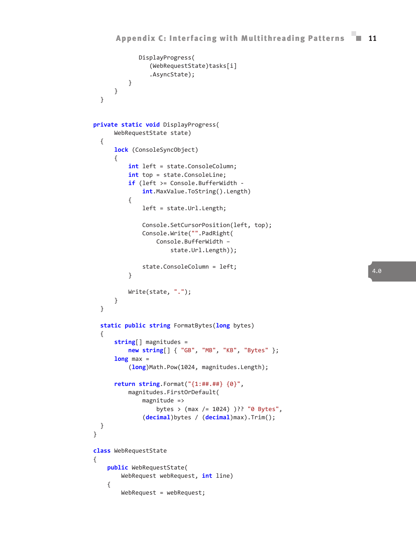```
 DisplayProgress(
                  (WebRequestState)tasks[i]
                  .AsyncState);
           }
       }
   }
private static void DisplayProgress(
       WebRequestState state)
   {
       lock (ConsoleSyncObject)
       {
           int left = state.ConsoleColumn;
           int top = state.ConsoleLine;
           if (left >= Console.BufferWidth -
                int.MaxValue.ToString().Length)
           {
                left = state.Url.Length;
                Console.SetCursorPosition(left, top);
                Console.Write("".PadRight(
                    Console.BufferWidth – 
                        state.Url.Length));
                state.ConsoleColumn = left;
           }
           Write(state, ".");
       }
   }
   static public string FormatBytes(long bytes)
   {
       string[] magnitudes = 
           new string[] { "GB", "MB", "KB", "Bytes" };
       long max = 
            (long)Math.Pow(1024, magnitudes.Length);
       return string.Format("{1:##.##} {0}",
           magnitudes.FirstOrDefault(
                magnitude => 
                    bytes > (max /= 1024) )?? "0 Bytes",
                (decimal)bytes / (decimal)max).Trim();
   }
}
class WebRequestState
{
     public WebRequestState(
         WebRequest webRequest, int line)
     {
         WebRequest = webRequest;
```

```
4.0
```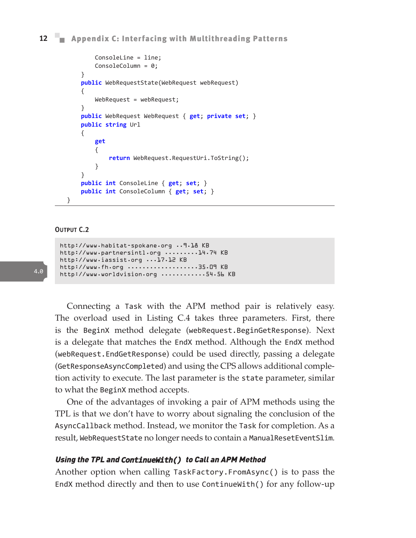```
 ConsoleLine = line;
         ConsoleColumn = 0;
     }
     public WebRequestState(WebRequest webRequest)
 {
        WebRequest = webRequest;
     }
     public WebRequest WebRequest { get; private set; }
     public string Url 
     {
         get
         {
             return WebRequest.RequestUri.ToString();
         }
 }
     public int ConsoleLine { get; set; }
     public int ConsoleColumn { get; set; }
}
```
#### Output C.2

```
http://www.habitat-spokane.org ..9.18 KB
http://www.partnersintl.org .........14.74 KB
http://www.iassist.org ...17.12 KB
http://www.fh.org ...................35.09 KB
http://www.worldvision.org ............54.56 KB
```
Connecting a Task with the APM method pair is relatively easy. The overload used in Listing C.4 takes three parameters. First, there is the BeginX method delegate (webRequest.BeginGetResponse). Next is a delegate that matches the EndX method. Although the EndX method (webRequest.EndGetResponse) could be used directly, passing a delegate (GetResponseAsyncCompleted) and using the CPS allows additional completion activity to execute. The last parameter is the state parameter, similar to what the BeginX method accepts.

One of the advantages of invoking a pair of APM methods using the TPL is that we don't have to worry about signaling the conclusion of the AsyncCallback method. Instead, we monitor the Task for completion. As a result, WebRequestState no longer needs to contain a ManualResetEventSlim.

#### Using the TPL and **ContinueWith()** to Call an APM Method

Another option when calling TaskFactory.FromAsync() is to pass the EndX method directly and then to use ContinueWith() for any follow-up

4.0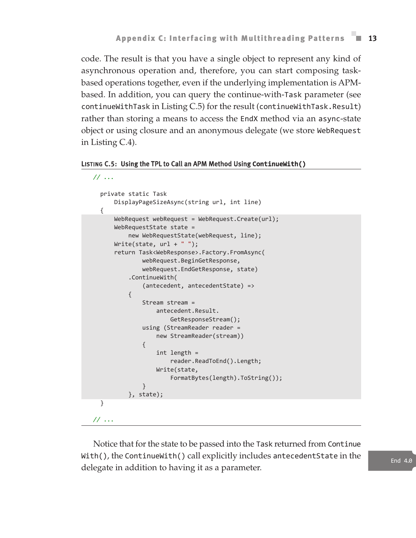code. The result is that you have a single object to represent any kind of asynchronous operation and, therefore, you can start composing taskbased operations together, even if the underlying implementation is APMbased. In addition, you can query the continue-with-Task parameter (see continueWithTask in Listing C.5) for the result (continueWithTask.Result) rather than storing a means to access the EndX method via an async-state object or using closure and an anonymous delegate (we store WebRequest in Listing C.4).

```
Listing C.5:  Using the TPL to Call an APM Method Using ContinueWith()
```

```
// ...
    private static Task
          DisplayPageSizeAsync(string url, int line)
    {
          WebRequest webRequest = WebRequest.Create(url);
          WebRequestState state = 
                new WebRequestState(webRequest, line);
         Write(state, url + "");
          return Task<WebResponse>.Factory.FromAsync(
                       webRequest.BeginGetResponse,
                       webRequest.EndGetResponse, state)
                 .ContinueWith(
                       (antecedent, antecedentState) =>
                {
                       Stream stream =
                             antecedent.Result.
                                   GetResponseStream();
                       using (StreamReader reader =
                             new StreamReader(stream))
\left\{ \begin{array}{ccc} 0 & 0 & 0 \\ 0 & 0 & 0 \\ 0 & 0 & 0 \\ 0 & 0 & 0 \\ 0 & 0 & 0 \\ 0 & 0 & 0 \\ 0 & 0 & 0 \\ 0 & 0 & 0 \\ 0 & 0 & 0 \\ 0 & 0 & 0 \\ 0 & 0 & 0 \\ 0 & 0 & 0 \\ 0 & 0 & 0 \\ 0 & 0 & 0 & 0 \\ 0 & 0 & 0 & 0 \\ 0 & 0 & 0 & 0 \\ 0 & 0 & 0 & 0 \\ 0 & 0 & 0 & 0 & 0 \\ 0 & 0 & 0 & 0 & 0 \\ 0 & 0 & 0 & 0 & 0 int length = 
                                   reader.ReadToEnd().Length;
                             Write(state, 
                                   FormatBytes(length).ToString());
}<br>{}
                }, state);
    }
// ...
```
Notice that for the state to be passed into the Task returned from Continue With(), the ContinueWith() call explicitly includes antecedentState in the delegate in addition to having it as a parameter.

End 4.0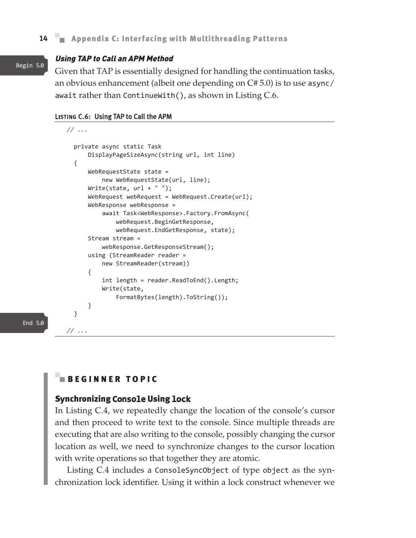#### Begin 5.0

#### Using TAP to Call an APM Method

Given that TAP is essentially designed for handling the continuation tasks, an obvious enhancement (albeit one depending on C# 5.0) is to use async/ await rather than ContinueWith(), as shown in Listing C.6.

#### Listing C.6: Using TAP to Call the APM

```
// ...
   private async static Task
       DisplayPageSizeAsync(string url, int line)
   {
       WebRequestState state = 
           new WebRequestState(url, line);
       Write(state, url + " ");
      WebRequest webRequest = WebRequest.Create(url);
       WebResponse webResponse = 
           await Task<WebResponse>.Factory.FromAsync(
               webRequest.BeginGetResponse,
               webRequest.EndGetResponse, state);
       Stream stream =
           webResponse.GetResponseStream();
       using (StreamReader reader =
           new StreamReader(stream))
       {
           int length = reader.ReadToEnd().Length;
           Write(state, 
               FormatBytes(length).ToString());
       }
   }
```
#### End 5.0

# **BEGINNER TOPIC**

*// ...*

#### Synchronizing **Console** Using **lock**

In Listing C.4, we repeatedly change the location of the console's cursor and then proceed to write text to the console. Since multiple threads are executing that are also writing to the console, possibly changing the cursor location as well, we need to synchronize changes to the cursor location with write operations so that together they are atomic.

Listing C.4 includes a ConsoleSyncObject of type object as the synchronization lock identifier. Using it within a lock construct whenever we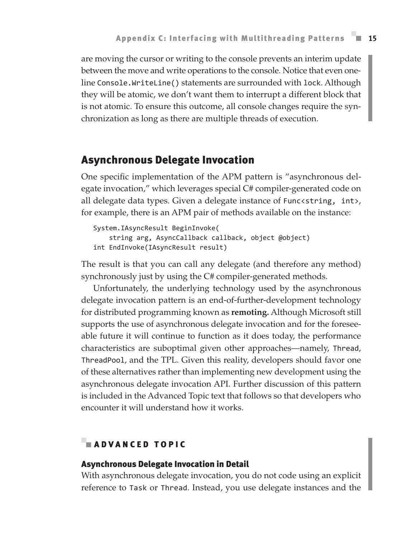are moving the cursor or writing to the console prevents an interim update between the move and write operations to the console. Notice that even oneline Console.WriteLine() statements are surrounded with lock. Although they will be atomic, we don't want them to interrupt a different block that is not atomic. To ensure this outcome, all console changes require the synchronization as long as there are multiple threads of execution.

## Asynchronous Delegate Invocation

One specific implementation of the APM pattern is "asynchronous delegate invocation," which leverages special C# compiler-generated code on all delegate data types. Given a delegate instance of Func<string, int>, for example, there is an APM pair of methods available on the instance:

```
System.IAsyncResult BeginInvoke(
     string arg, AsyncCallback callback, object @object)
int EndInvoke(IAsyncResult result)
```
The result is that you can call any delegate (and therefore any method) synchronously just by using the C# compiler-generated methods.

Unfortunately, the underlying technology used by the asynchronous delegate invocation pattern is an end-of-further-development technology for distributed programming known as **remoting.** Although Microsoft still supports the use of asynchronous delegate invocation and for the foreseeable future it will continue to function as it does today, the performance characteristics are suboptimal given other approaches—namely, Thread, ThreadPool, and the TPL. Given this reality, developers should favor one of these alternatives rather than implementing new development using the asynchronous delegate invocation API. Further discussion of this pattern is included in the Advanced Topic text that follows so that developers who encounter it will understand how it works.

# **ADVANCED TOPIC**

#### Asynchronous Delegate Invocation in Detail

With asynchronous delegate invocation, you do not code using an explicit reference to Task or Thread. Instead, you use delegate instances and the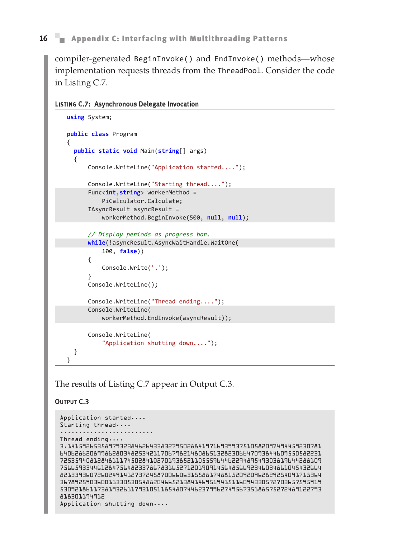compiler-generated BeginInvoke() and EndInvoke() methods—whose implementation requests threads from the ThreadPool. Consider the code in Listing C.7.

```
Listing C.7:  Asynchronous Delegate Invocation
```

```
using System;
public class Program
{
   public static void Main(string[] args)
   {
       Console.WriteLine("Application started....");
       Console.WriteLine("Starting thread....");
       Func<int,string> workerMethod = 
           PiCalculator.Calculate;
       IAsyncResult asyncResult = 
           workerMethod.BeginInvoke(500, null, null);
       // Display periods as progress bar.
       while(!asyncResult.AsyncWaitHandle.WaitOne(
           100, false))
       {
           Console.Write('.');
       }
       Console.WriteLine();
       Console.WriteLine("Thread ending....");
       Console.WriteLine(
           workerMethod.EndInvoke(asyncResult));
       Console.WriteLine(
           "Application shutting down....");
   }
}
```
The results of Listing C.7 appear in Output C.3.

#### Output C.3

```
Application started....
Starting thread....
.........................
Thread ending....
3.14159265358979323846264338327950288419716939937510582097494459230781
6406286208998628034825342117067982148086513282306647093844609550582231
7253594081284811174502841027019385211055596446229489549303819644288109
7566593344612847564823378678316527120190914564856692346034861045432664
8213393607260249141273724587006606315588174881520920962829254091715364
3678925903600113305305488204665213841469519415116094330572703657595919
5309218611738193261179310511854807446237996274956735188575272489122793
818301194912
Application shutting down....
```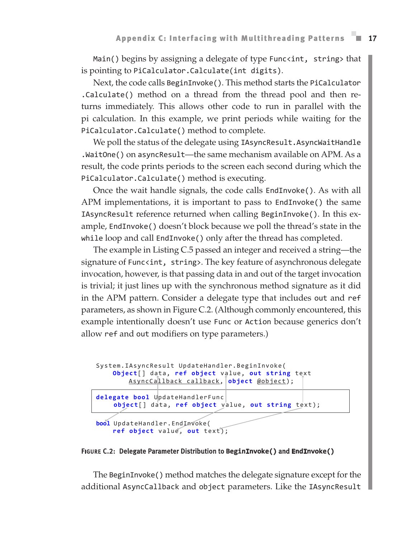Main() begins by assigning a delegate of type Funckint, string> that is pointing to PiCalculator.Calculate(int digits).

Next, the code calls BeginInvoke(). This method starts the PiCalculator .Calculate() method on a thread from the thread pool and then returns immediately. This allows other code to run in parallel with the pi calculation. In this example, we print periods while waiting for the PiCalculator.Calculate() method to complete.

We poll the status of the delegate using IAsyncResult.AsyncWaitHandle .WaitOne() on asyncResult—the same mechanism available on APM. As a result, the code prints periods to the screen each second during which the PiCalculator.Calculate() method is executing.

Once the wait handle signals, the code calls EndInvoke(). As with all APM implementations, it is important to pass to EndInvoke() the same IAsyncResult reference returned when calling BeginInvoke(). In this example, EndInvoke() doesn't block because we poll the thread's state in the while loop and call EndInvoke() only after the thread has completed.

The example in Listing C.5 passed an integer and received a string—the signature of Func<int, string>. The key feature of asynchronous delegate invocation, however, is that passing data in and out of the target invocation is trivial; it just lines up with the synchronous method signature as it did in the APM pattern. Consider a delegate type that includes out and ref parameters, as shown in Figure C.2. (Although commonly encountered, this example intentionally doesn't use Func or Action because generics don't allow ref and out modifiers on type parameters.)

```
System.IAsyncResult UpdateHandler.BeginInvoke(
    Object[] data, ref object value, out string text
        AsyncCallback callback, object @object);
```

```
delegate bool UpdateHandlerFunc
    object[] data, ref object value, out string text);
```

```
bool UpdateHandler.End
Invoke(
   ref object value, out text);
```
Figure C.2: Delegate Parameter Distribution to **BeginInvoke()** and **EndInvoke()**

The BeginInvoke() method matches the delegate signature except for the additional AsyncCallback and object parameters. Like the IAsyncResult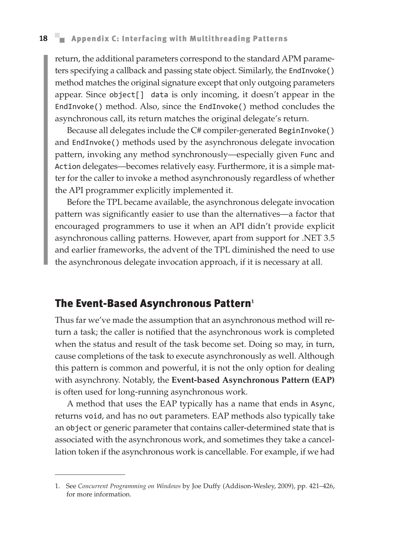return, the additional parameters correspond to the standard APM parameters specifying a callback and passing state object. Similarly, the EndInvoke() method matches the original signature except that only outgoing parameters appear. Since object[] data is only incoming, it doesn't appear in the EndInvoke() method. Also, since the EndInvoke() method concludes the asynchronous call, its return matches the original delegate's return.

Because all delegates include the C# compiler-generated BeginInvoke() and EndInvoke() methods used by the asynchronous delegate invocation pattern, invoking any method synchronously—especially given Func and Action delegates—becomes relatively easy. Furthermore, it is a simple matter for the caller to invoke a method asynchronously regardless of whether the API programmer explicitly implemented it.

Before the TPL became available, the asynchronous delegate invocation pattern was significantly easier to use than the alternatives—a factor that encouraged programmers to use it when an API didn't provide explicit asynchronous calling patterns. However, apart from support for .NET 3.5 and earlier frameworks, the advent of the TPL diminished the need to use the asynchronous delegate invocation approach, if it is necessary at all.

## The Event-Based Asynchronous Pattern**<sup>1</sup>**

Thus far we've made the assumption that an asynchronous method will return a task; the caller is notified that the asynchronous work is completed when the status and result of the task become set. Doing so may, in turn, cause completions of the task to execute asynchronously as well. Although this pattern is common and powerful, it is not the only option for dealing with asynchrony. Notably, the **Event-based Asynchronous Pattern (EAP)** is often used for long-running asynchronous work.

A method that uses the EAP typically has a name that ends in Async, returns void, and has no out parameters. EAP methods also typically take an object or generic parameter that contains caller-determined state that is associated with the asynchronous work, and sometimes they take a cancellation token if the asynchronous work is cancellable. For example, if we had

<sup>1.</sup> See *Concurrent Programming on Windows* by Joe Duffy (Addison-Wesley, 2009), pp. 421–426, for more information.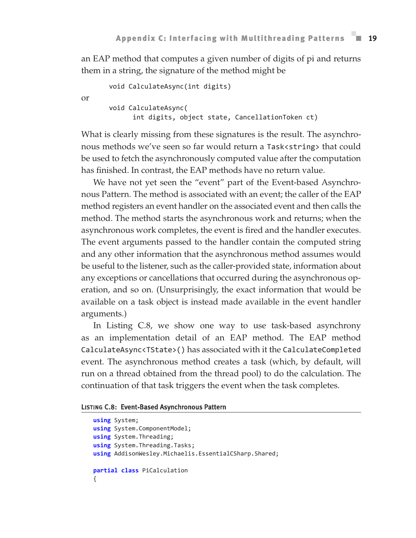an EAP method that computes a given number of digits of pi and returns them in a string, the signature of the method might be

```
 void CalculateAsync(int digits)
 void CalculateAsync(
       int digits, object state, CancellationToken ct)
```
or

What is clearly missing from these signatures is the result. The asynchronous methods we've seen so far would return a Task<string> that could be used to fetch the asynchronously computed value after the computation has finished. In contrast, the EAP methods have no return value.

We have not yet seen the "event" part of the Event-based Asynchronous Pattern. The method is associated with an event; the caller of the EAP method registers an event handler on the associated event and then calls the method. The method starts the asynchronous work and returns; when the asynchronous work completes, the event is fired and the handler executes. The event arguments passed to the handler contain the computed string and any other information that the asynchronous method assumes would be useful to the listener, such as the caller-provided state, information about any exceptions or cancellations that occurred during the asynchronous operation, and so on. (Unsurprisingly, the exact information that would be available on a task object is instead made available in the event handler arguments.)

In Listing C.8, we show one way to use task-based asynchrony as an implementation detail of an EAP method. The EAP method CalculateAsync<TState>() has associated with it the CalculateCompleted event. The asynchronous method creates a task (which, by default, will run on a thread obtained from the thread pool) to do the calculation. The continuation of that task triggers the event when the task completes.

#### Listing C.8: Event-Based Asynchronous Pattern

```
using System;
using System.ComponentModel;
using System.Threading;
using System.Threading.Tasks;
using AddisonWesley.Michaelis.EssentialCSharp.Shared;
partial class PiCalculation
{
```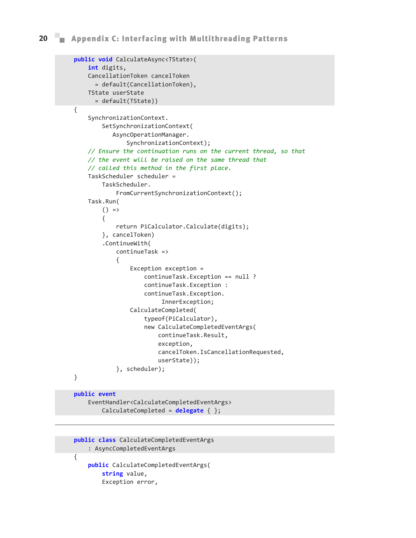```
 public void CalculateAsync<TState>(
      int digits, 
      CancellationToken cancelToken 
         = default(CancellationToken), 
      TState userState
         = default(TState))
  {
      SynchronizationContext.
           SetSynchronizationContext(
              AsyncOperationManager.
                  SynchronizationContext);
      // Ensure the continuation runs on the current thread, so that
      // the event will be raised on the same thread that
      // called this method in the first place.
      TaskScheduler scheduler = 
           TaskScheduler.
               FromCurrentSynchronizationContext();
      Task.Run(
          () =>
           {
               return PiCalculator.Calculate(digits);
           }, cancelToken)
           .ContinueWith(
               continueTask =>
\{ Exception exception =
                        continueTask.Exception == null ?
                        continueTask.Exception :
                        continueTask.Exception.
                             InnerException;
                   CalculateCompleted(
                        typeof(PiCalculator),
                        new CalculateCompletedEventArgs(
                            continueTask.Result,
                            exception,
                            cancelToken.IsCancellationRequested,
                            userState));
               }, scheduler);
  }
```
**public event**

 EventHandler<CalculateCompletedEventArgs> CalculateCompleted = **delegate** { };

```
 public class CalculateCompletedEventArgs 
     : AsyncCompletedEventArgs
 {
     public CalculateCompletedEventArgs(
         string value,
         Exception error,
```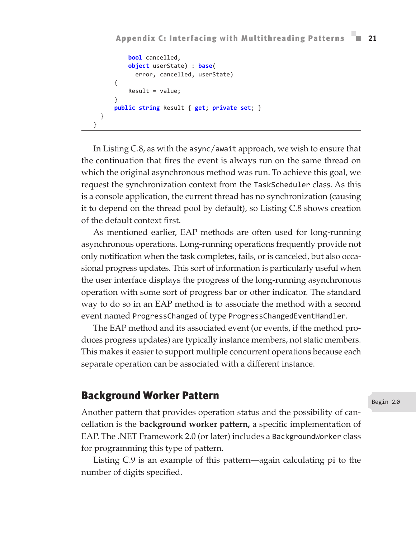```
 bool cancelled,
           object userState) : base(
              error, cancelled, userState)
       {
           Result = value;
       }
       public string Result { get; private set; }
   }
}
```
In Listing C.8, as with the async/await approach, we wish to ensure that the continuation that fires the event is always run on the same thread on which the original asynchronous method was run. To achieve this goal, we request the synchronization context from the TaskScheduler class. As this is a console application, the current thread has no synchronization (causing it to depend on the thread pool by default), so Listing C.8 shows creation of the default context first.

As mentioned earlier, EAP methods are often used for long-running asynchronous operations. Long-running operations frequently provide not only notification when the task completes, fails, or is canceled, but also occasional progress updates. This sort of information is particularly useful when the user interface displays the progress of the long-running asynchronous operation with some sort of progress bar or other indicator. The standard way to do so in an EAP method is to associate the method with a second event named ProgressChanged of type ProgressChangedEventHandler.

The EAP method and its associated event (or events, if the method produces progress updates) are typically instance members, not static members. This makes it easier to support multiple concurrent operations because each separate operation can be associated with a different instance.

## Background Worker Pattern

Another pattern that provides operation status and the possibility of cancellation is the **background worker pattern,** a specific implementation of EAP. The .NET Framework 2.0 (or later) includes a BackgroundWorker class for programming this type of pattern.

Listing C.9 is an example of this pattern—again calculating pi to the number of digits specified.

Begin 2.0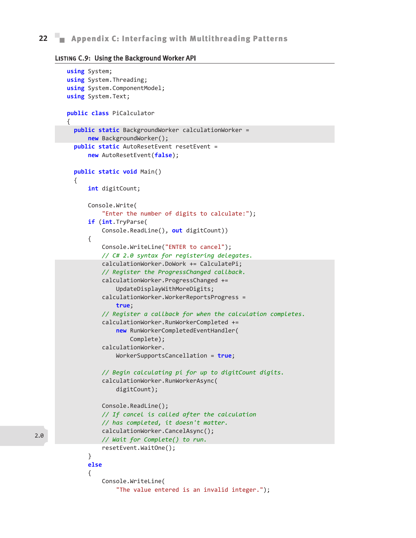```
Listing C.9:  Using the Background Worker API
```

```
using System;
using System.Threading;
using System.ComponentModel;
using System.Text;
public class PiCalculator
{
   public static BackgroundWorker calculationWorker = 
       new BackgroundWorker();
   public static AutoResetEvent resetEvent = 
       new AutoResetEvent(false);
   public static void Main()
   {
       int digitCount;
       Console.Write(
           "Enter the number of digits to calculate:");
       if (int.TryParse(
           Console.ReadLine(), out digitCount))
       {
           Console.WriteLine("ENTER to cancel");
           // C# 2.0 syntax for registering delegates.
           calculationWorker.DoWork += CalculatePi;
           // Register the ProgressChanged callback.
           calculationWorker.ProgressChanged += 
               UpdateDisplayWithMoreDigits;
           calculationWorker.WorkerReportsProgress = 
               true;
           // Register a callback for when the calculation completes.
           calculationWorker.RunWorkerCompleted += 
               new RunWorkerCompletedEventHandler(
                   Complete);
           calculationWorker.
               WorkerSupportsCancellation = true;
           // Begin calculating pi for up to digitCount digits.
           calculationWorker.RunWorkerAsync(
               digitCount);
           Console.ReadLine();
           // If cancel is called after the calculation
           // has completed, it doesn't matter.
           calculationWorker.CancelAsync();
           // Wait for Complete() to run.
           resetEvent.WaitOne();
       }
       else
       {
           Console.WriteLine(
                "The value entered is an invalid integer.");
```
2.0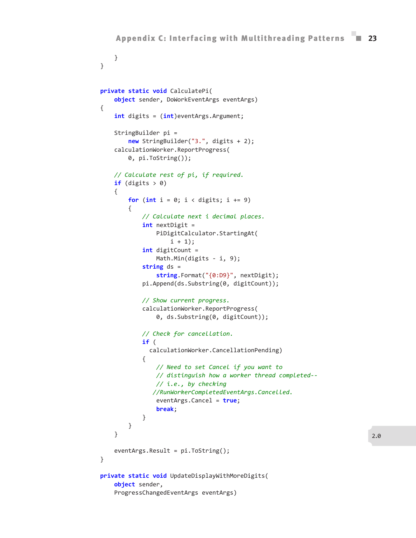```
 }
  }
  private static void CalculatePi(
      object sender, DoWorkEventArgs eventArgs) 
  {
      int digits = (int)eventArgs.Argument;
      StringBuilder pi = 
          new StringBuilder("3.", digits + 2);
      calculationWorker.ReportProgress(
          0, pi.ToString());
      // Calculate rest of pi, if required.
     if (digits > 0)
      {
         for (int i = 0; i < digits; i + = 9)
\{ // Calculate next i decimal places.
               int nextDigit = 
                   PiDigitCalculator.StartingAt(
                      i + 1); int digitCount = 
                   Math.Min(digits - i, 9);
               string ds = 
                   string.Format("{0:D9}", nextDigit);
               pi.Append(ds.Substring(0, digitCount));
               // Show current progress.
               calculationWorker.ReportProgress(
                   0, ds.Substring(0, digitCount));
               // Check for cancellation.
               if (
                 calculationWorker.CancellationPending)
\{ // Need to set Cancel if you want to 
                   // distinguish how a worker thread completed--
                   // i.e., by checking 
                  //RunWorkerCompletedEventArgs.Cancelled.
                   eventArgs.Cancel = true;
                   break;
 }
          }
      }
      eventArgs.Result = pi.ToString();
  }
  private static void UpdateDisplayWithMoreDigits(
      object sender, 
      ProgressChangedEventArgs eventArgs)
```
2.0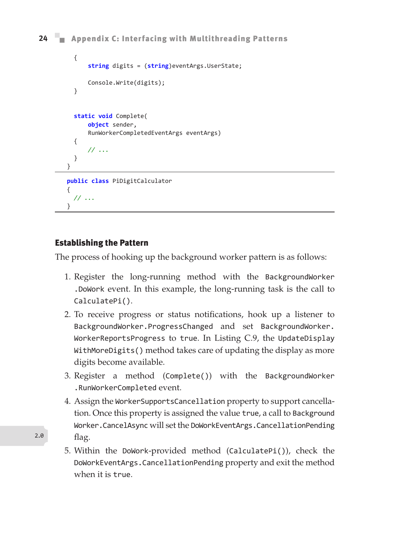```
24 n Appendix C: Interfacing with Multithreading Patterns
```

```
 {
       string digits = (string)eventArgs.UserState;
       Console.Write(digits);
   }
   static void Complete(
       object sender, 
       RunWorkerCompletedEventArgs eventArgs)
   {
       // ...
   }
}
public class PiDigitCalculator
{
   // ...
}
```
### Establishing the Pattern

The process of hooking up the background worker pattern is as follows:

- 1. Register the long-running method with the BackgroundWorker .DoWork event. In this example, the long-running task is the call to CalculatePi().
- 2. To receive progress or status notifications, hook up a listener to BackgroundWorker.ProgressChanged and set BackgroundWorker. WorkerReportsProgress to true. In Listing C.9, the UpdateDisplay WithMoreDigits() method takes care of updating the display as more digits become available.
- 3. Register a method (Complete()) with the BackgroundWorker .RunWorkerCompleted event.
- 4. Assign the WorkerSupportsCancellation property to support cancellation. Once this property is assigned the value true, a call to Background Worker.CancelAsync will set the DoWorkEventArgs.CancellationPending flag.
- 5. Within the DoWork-provided method (CalculatePi()), check the DoWorkEventArgs.CancellationPending property and exit the method when it is true.

```
2.0
```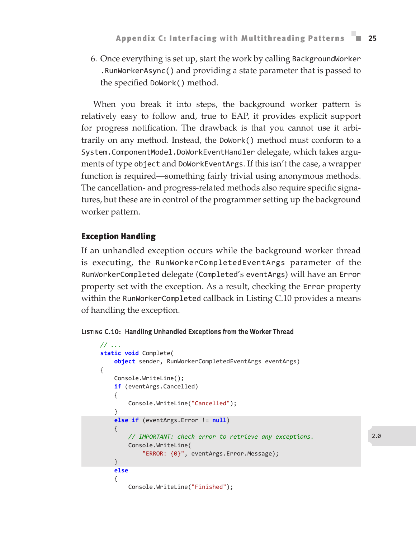6. Once everything is set up, start the work by calling BackgroundWorker .RunWorkerAsync() and providing a state parameter that is passed to the specified DoWork() method.

When you break it into steps, the background worker pattern is relatively easy to follow and, true to EAP, it provides explicit support for progress notification. The drawback is that you cannot use it arbitrarily on any method. Instead, the DoWork() method must conform to a System.ComponentModel.DoWorkEventHandler delegate, which takes arguments of type object and DoWorkEventArgs. If this isn't the case, a wrapper function is required—something fairly trivial using anonymous methods. The cancellation- and progress-related methods also require specific signatures, but these are in control of the programmer setting up the background worker pattern.

#### Exception Handling

If an unhandled exception occurs while the background worker thread is executing, the RunWorkerCompletedEventArgs parameter of the RunWorkerCompleted delegate (Completed's eventArgs) will have an Error property set with the exception. As a result, checking the Error property within the RunWorkerCompleted callback in Listing C.10 provides a means of handling the exception.

```
Listing C.10:  Handling Unhandled Exceptions from the Worker Thread
```

```
 // ...
  static void Complete(
      object sender, RunWorkerCompletedEventArgs eventArgs)
  {
      Console.WriteLine();
      if (eventArgs.Cancelled)
      {
           Console.WriteLine("Cancelled");
 }
      else if (eventArgs.Error != null)
       {
           // IMPORTANT: check error to retrieve any exceptions.
           Console.WriteLine(
               "ERROR: {0}", eventArgs.Error.Message);
      }
      else
      {
           Console.WriteLine("Finished");
```
2.0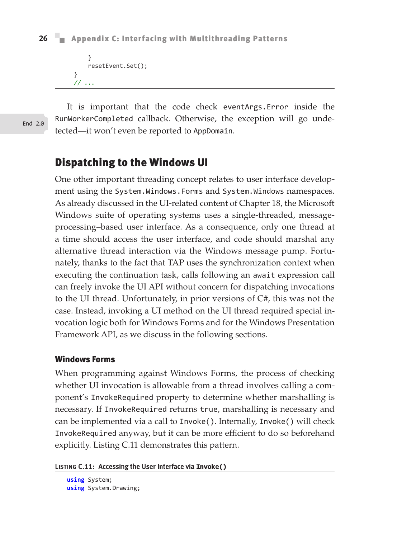```
 }
      resetEvent.Set();
 }
 // ...
```
End 2.0

It is important that the code check eventArgs.Error inside the RunWorkerCompleted callback. Otherwise, the exception will go undetected—it won't even be reported to AppDomain.

# Dispatching to the Windows UI

One other important threading concept relates to user interface development using the System.Windows.Forms and System.Windows namespaces. As already discussed in the UI-related content of Chapter 18, the Microsoft Windows suite of operating systems uses a single-threaded, messageprocessing–based user interface. As a consequence, only one thread at a time should access the user interface, and code should marshal any alternative thread interaction via the Windows message pump. Fortunately, thanks to the fact that TAP uses the synchronization context when executing the continuation task, calls following an await expression call can freely invoke the UI API without concern for dispatching invocations to the UI thread. Unfortunately, in prior versions of C#, this was not the case. Instead, invoking a UI method on the UI thread required special invocation logic both for Windows Forms and for the Windows Presentation Framework API, as we discuss in the following sections.

#### Windows Forms

When programming against Windows Forms, the process of checking whether UI invocation is allowable from a thread involves calling a component's InvokeRequired property to determine whether marshalling is necessary. If InvokeRequired returns true, marshalling is necessary and can be implemented via a call to Invoke(). Internally, Invoke() will check InvokeRequired anyway, but it can be more efficient to do so beforehand explicitly. Listing C.11 demonstrates this pattern.

#### Listing C.11: Accessing the User Interface via **Invoke()**

```
using System;
using System.Drawing;
```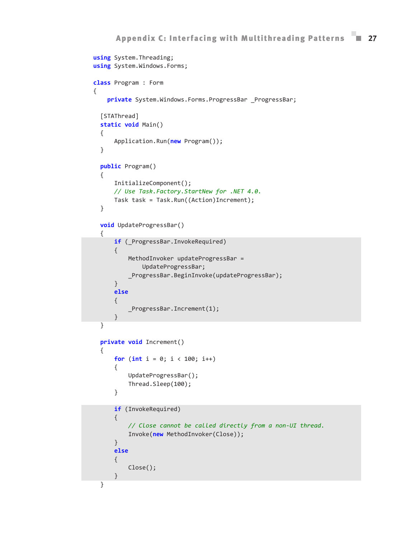```
using System.Threading;
using System.Windows.Forms;
class Program : Form
{
     private System.Windows.Forms.ProgressBar _ProgressBar;
   [STAThread]
   static void Main()
   {
       Application.Run(new Program());
   }
   public Program()
   {
       InitializeComponent();
       // Use Task.Factory.StartNew for .NET 4.0.
       Task task = Task.Run((Action)Increment);
   }
   void UpdateProgressBar()
   {
       if (_ProgressBar.InvokeRequired)
       {
           MethodInvoker updateProgressBar = 
                UpdateProgressBar;
           _ProgressBar.BeginInvoke(updateProgressBar);
       }
       else
       {
           _ProgressBar.Increment(1);
       }
   }
   private void Increment()
   {
      for (int i = 0; i < 100; i++)
       {
           UpdateProgressBar();
           Thread.Sleep(100);
       }
       if (InvokeRequired)
       {
           // Close cannot be called directly from a non-UI thread.
           Invoke(new MethodInvoker(Close));
       }
       else
       {
           Close();
       }
   }
```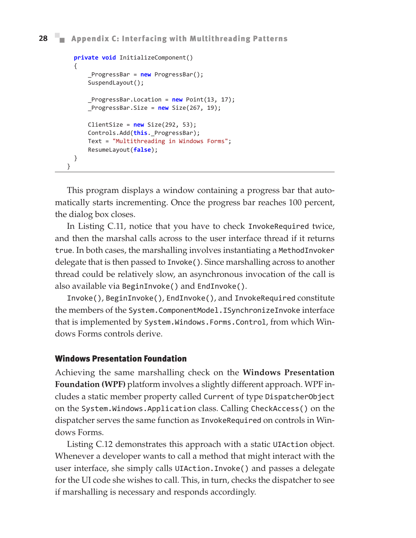```
 private void InitializeComponent()
   {
       _ProgressBar = new ProgressBar();
       SuspendLayout();
       _ProgressBar.Location = new Point(13, 17);
       _ProgressBar.Size = new Size(267, 19);
       ClientSize = new Size(292, 53);
       Controls.Add(this._ProgressBar);
       Text = "Multithreading in Windows Forms";
       ResumeLayout(false);
  }
}
```
This program displays a window containing a progress bar that automatically starts incrementing. Once the progress bar reaches 100 percent, the dialog box closes.

In Listing C.11, notice that you have to check InvokeRequired twice, and then the marshal calls across to the user interface thread if it returns true. In both cases, the marshalling involves instantiating a MethodInvoker delegate that is then passed to Invoke(). Since marshalling across to another thread could be relatively slow, an asynchronous invocation of the call is also available via BeginInvoke() and EndInvoke().

Invoke(), BeginInvoke(), EndInvoke(), and InvokeRequired constitute the members of the System.ComponentModel.ISynchronizeInvoke interface that is implemented by System.Windows.Forms.Control, from which Windows Forms controls derive.

#### Windows Presentation Foundation

Achieving the same marshalling check on the **Windows Presentation Foundation (WPF)** platform involves a slightly different approach. WPF includes a static member property called Current of type DispatcherObject on the System.Windows.Application class. Calling CheckAccess() on the dispatcher serves the same function as InvokeRequired on controls in Windows Forms.

Listing C.12 demonstrates this approach with a static UIAction object. Whenever a developer wants to call a method that might interact with the user interface, she simply calls UIAction.Invoke() and passes a delegate for the UI code she wishes to call. This, in turn, checks the dispatcher to see if marshalling is necessary and responds accordingly.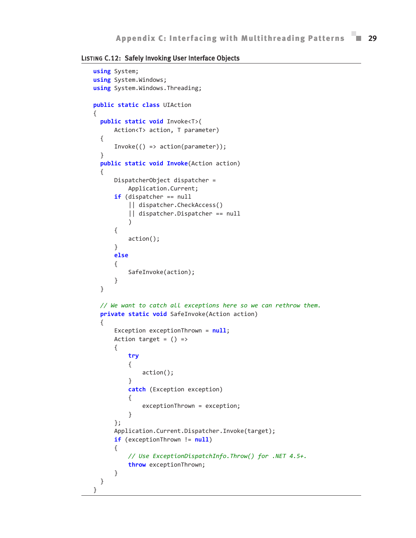```
Listing C.12:  Safely Invoking User Interface Objects
```

```
using System;
using System.Windows;
using System.Windows.Threading;
public static class UIAction
{
   public static void Invoke<T>(
       Action<T> action, T parameter)
   {
      Invoke(() \Rightarrow action(parameter)); }
   public static void Invoke(Action action)
   {
       DispatcherObject dispatcher = 
           Application.Current;
       if (dispatcher == null
            || dispatcher.CheckAccess()
           || dispatcher.Dispatcher == null
           )
       {
           action();
       }
       else
       {
           SafeInvoke(action);
       }
   }
   // We want to catch all exceptions here so we can rethrow them.
   private static void SafeInvoke(Action action)
   {
       Exception exceptionThrown = null;
      Action target = () =>
       {
           try
           {
                action();
           }
           catch (Exception exception)
           {
                exceptionThrown = exception;
           }
       };
       Application.Current.Dispatcher.Invoke(target);
       if (exceptionThrown != null)
       {
           // Use ExceptionDispatchInfo.Throw() for .NET 4.5+.
           throw exceptionThrown;
       }
   }
}
```